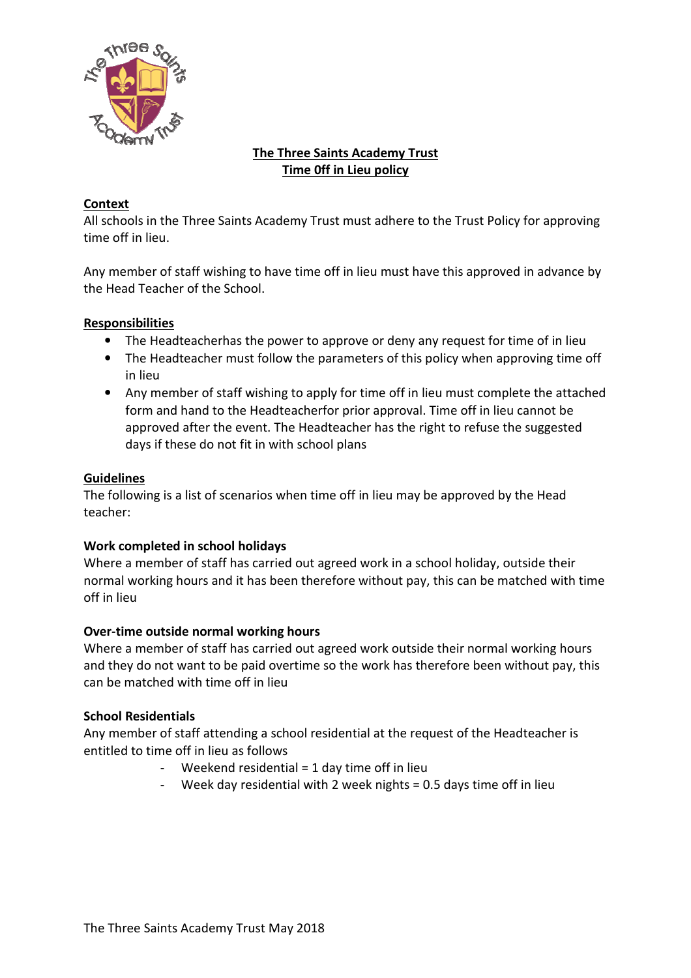

# The Three Saints Academy Trust Time 0ff in Lieu policy

## Context

All schools in the Three Saints Academy Trust must adhere to the Trust Policy for approving time off in lieu.

Any member of staff wishing to have time off in lieu must have this approved in the Head Teacher of the School.

## Responsibilities

- The Headteacherhas the power to approve or deny any request for time of in lieu
- The Headteacherhas the power to approve or deny any request for time of in lieu<br>• The Headteacher must follow the parameters of this policy when approving time off in lieu
- Any member of staff wishing to apply for time off in lieu must complete the attached form and hand to the Headteacherfor prior approval. Time off in lieu cannot be approved after the event. The Headteacher has the right to refuse the suggested days if these do not fit in with school plans wishing to have time off in lieu must have this approved in advance by<br>the School.<br>therhas the power to approve or deny any request for time of in lieu<br>sher must follow the parameters of this policy when approving time off adteacherfor prior approval. Time off in lieu cannot be<br>
. The Headteacher has the right to refuse the suggested<br>
with school plans<br>
s when time off in lieu may be approved by the Head<br>
ays<br>
rried out agreed work in a scho

#### Guidelines

The following is a list of scenarios when time off in lieu may be approved by the Head teacher:

## Work completed in school holidays

Where a member of staff has carried out agreed work in a school holiday, outside their normal working hours and it has been therefore without pay, this can be matched with time off in lieu

## Over-time outside normal working hours

Where a member of staff has carried out agreed work outside their normal working hours and they do not want to be paid overtime so the work has therefore been without pay, this can be matched with time off in lieu

## School Residentials

Any member of staff attending a school residential at the request of the Headteacher is entitled to time off in lieu as follows

- Weekend residential  $= 1$  day time off in lieu
- Week day residential with 2 week nights = 0.5 days time off in lieu